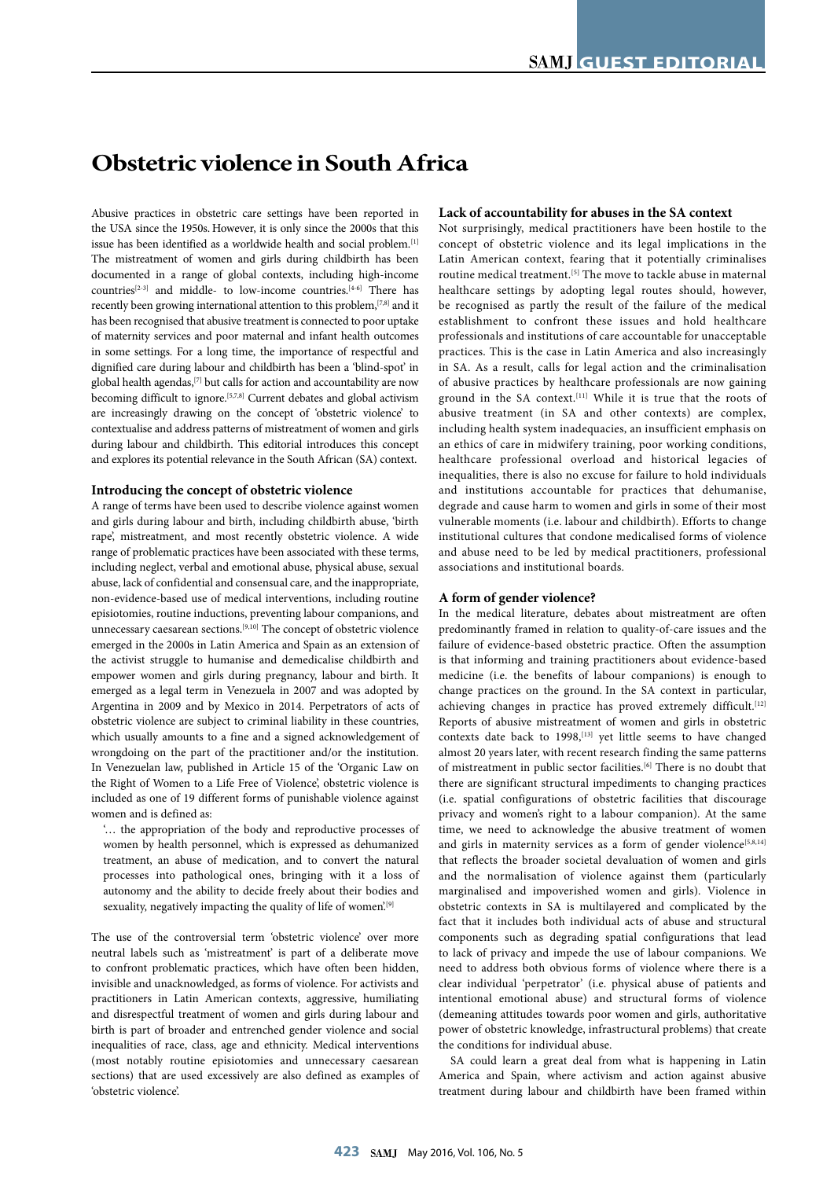# **Obstetric violence in South Africa**

Abusive practices in obstetric care settings have been reported in the USA since the 1950s. However, it is only since the 2000s that this issue has been identified as a worldwide health and social problem.[1] The mistreatment of women and girls during childbirth has been documented in a range of global contexts, including high-income countries[2-3] and middle- to low-income countries.[4-6] There has recently been growing international attention to this problem, [7,8] and it has been recognised that abusive treatment is connected to poor uptake of maternity services and poor maternal and infant health outcomes in some settings. For a long time, the importance of respectful and dignified care during labour and childbirth has been a 'blind-spot' in global health agendas,<sup>[7]</sup> but calls for action and accountability are now becoming difficult to ignore.<sup>[5,7,8]</sup> Current debates and global activism are increasingly drawing on the concept of 'obstetric violence' to contextualise and address patterns of mistreatment of women and girls during labour and childbirth. This editorial introduces this concept and explores its potential relevance in the South African (SA) context.

### **Introducing the concept of obstetric violence**

A range of terms have been used to describe violence against women and girls during labour and birth, including childbirth abuse, 'birth rape', mistreatment, and most recently obstetric violence. A wide range of problematic practices have been associated with these terms, including neglect, verbal and emotional abuse, physical abuse, sexual abuse, lack of confidential and consensual care, and the inappropriate, non-evidence-based use of medical interventions, including routine episiotomies, routine inductions, preventing labour companions, and unnecessary caesarean sections.[9,10] The concept of obstetric violence emerged in the 2000s in Latin America and Spain as an extension of the activist struggle to humanise and demedicalise childbirth and empower women and girls during pregnancy, labour and birth. It emerged as a legal term in Venezuela in 2007 and was adopted by Argentina in 2009 and by Mexico in 2014. Perpetrators of acts of obstetric violence are subject to criminal liability in these countries, which usually amounts to a fine and a signed acknowledgement of wrongdoing on the part of the practitioner and/or the institution. In Venezuelan law, published in Article 15 of the 'Organic Law on the Right of Women to a Life Free of Violence', obstetric violence is included as one of 19 different forms of punishable violence against women and is defined as:

'… the appropriation of the body and reproductive processes of women by health personnel, which is expressed as dehumanized treatment, an abuse of medication, and to convert the natural processes into pathological ones, bringing with it a loss of autonomy and the ability to decide freely about their bodies and sexuality, negatively impacting the quality of life of women.<sup>[9]</sup>

The use of the controversial term 'obstetric violence' over more neutral labels such as 'mistreatment' is part of a deliberate move to confront problematic practices, which have often been hidden, invisible and unacknowledged, as forms of violence. For activists and practitioners in Latin American contexts, aggressive, humiliating and disrespectful treatment of women and girls during labour and birth is part of broader and entrenched gender violence and social inequalities of race, class, age and ethnicity. Medical interventions (most notably routine episiotomies and unnecessary caesarean sections) that are used excessively are also defined as examples of 'obstetric violence'.

# **Lack of accountability for abuses in the SA context**

Not surprisingly, medical practitioners have been hostile to the concept of obstetric violence and its legal implications in the Latin American context, fearing that it potentially criminalises routine medical treatment.[5] The move to tackle abuse in maternal healthcare settings by adopting legal routes should, however, be recognised as partly the result of the failure of the medical establishment to confront these issues and hold healthcare professionals and institutions of care accountable for unacceptable practices. This is the case in Latin America and also increasingly in SA. As a result, calls for legal action and the criminalisation of abusive practices by healthcare professionals are now gaining ground in the SA context.[11] While it is true that the roots of abusive treatment (in SA and other contexts) are complex, including health system inadequacies, an insufficient emphasis on an ethics of care in midwifery training, poor working conditions, healthcare professional overload and historical legacies of inequalities, there is also no excuse for failure to hold individuals and institutions accountable for practices that dehumanise, degrade and cause harm to women and girls in some of their most vulnerable moments (i.e. labour and childbirth). Efforts to change institutional cultures that condone medicalised forms of violence and abuse need to be led by medical practitioners, professional associations and institutional boards.

# **A form of gender violence?**

In the medical literature, debates about mistreatment are often predominantly framed in relation to quality-of-care issues and the failure of evidence-based obstetric practice. Often the assumption is that informing and training practitioners about evidence-based medicine (i.e. the benefits of labour companions) is enough to change practices on the ground. In the SA context in particular, achieving changes in practice has proved extremely difficult.<sup>[12]</sup> Reports of abusive mistreatment of women and girls in obstetric contexts date back to 1998,<sup>[13]</sup> yet little seems to have changed almost 20 years later, with recent research finding the same patterns of mistreatment in public sector facilities.[6] There is no doubt that there are significant structural impediments to changing practices (i.e. spatial configurations of obstetric facilities that discourage privacy and women's right to a labour companion). At the same time, we need to acknowledge the abusive treatment of women and girls in maternity services as a form of gender violence<sup>[5,8,14]</sup> that reflects the broader societal devaluation of women and girls and the normalisation of violence against them (particularly marginalised and impoverished women and girls). Violence in obstetric contexts in SA is multilayered and complicated by the fact that it includes both individual acts of abuse and structural components such as degrading spatial configurations that lead to lack of privacy and impede the use of labour companions. We need to address both obvious forms of violence where there is a clear individual 'perpetrator' (i.e. physical abuse of patients and intentional emotional abuse) and structural forms of violence (demeaning attitudes towards poor women and girls, authoritative power of obstetric knowledge, infrastructural problems) that create the conditions for individual abuse.

SA could learn a great deal from what is happening in Latin America and Spain, where activism and action against abusive treatment during labour and childbirth have been framed within